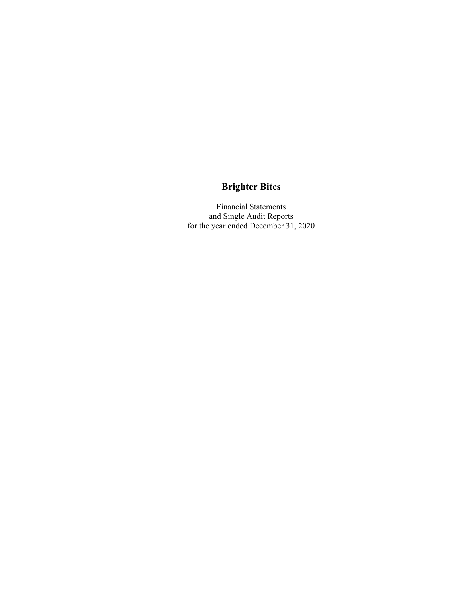Financial Statements and Single Audit Reports for the year ended December 31, 2020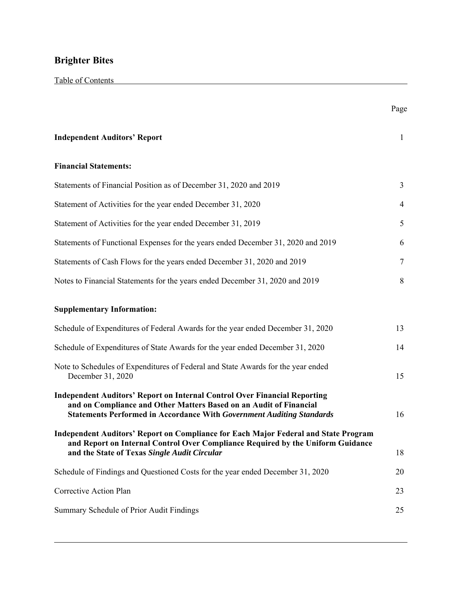|                                                                                                                                                                                                                                        | Page         |
|----------------------------------------------------------------------------------------------------------------------------------------------------------------------------------------------------------------------------------------|--------------|
| <b>Independent Auditors' Report</b>                                                                                                                                                                                                    | $\mathbf{1}$ |
| <b>Financial Statements:</b>                                                                                                                                                                                                           |              |
| Statements of Financial Position as of December 31, 2020 and 2019                                                                                                                                                                      | 3            |
| Statement of Activities for the year ended December 31, 2020                                                                                                                                                                           | 4            |
| Statement of Activities for the year ended December 31, 2019                                                                                                                                                                           | 5            |
| Statements of Functional Expenses for the years ended December 31, 2020 and 2019                                                                                                                                                       | 6            |
| Statements of Cash Flows for the years ended December 31, 2020 and 2019                                                                                                                                                                | $\tau$       |
| Notes to Financial Statements for the years ended December 31, 2020 and 2019                                                                                                                                                           | 8            |
| <b>Supplementary Information:</b>                                                                                                                                                                                                      |              |
| Schedule of Expenditures of Federal Awards for the year ended December 31, 2020                                                                                                                                                        | 13           |
| Schedule of Expenditures of State Awards for the year ended December 31, 2020                                                                                                                                                          | 14           |
| Note to Schedules of Expenditures of Federal and State Awards for the year ended<br>December 31, 2020                                                                                                                                  | 15           |
| <b>Independent Auditors' Report on Internal Control Over Financial Reporting</b><br>and on Compliance and Other Matters Based on an Audit of Financial<br><b>Statements Performed in Accordance With Government Auditing Standards</b> | 16           |
| Independent Auditors' Report on Compliance for Each Major Federal and State Program<br>and Report on Internal Control Over Compliance Required by the Uniform Guidance<br>and the State of Texas Single Audit Circular                 | 18           |
| Schedule of Findings and Questioned Costs for the year ended December 31, 2020                                                                                                                                                         | 20           |
| Corrective Action Plan                                                                                                                                                                                                                 | 23           |
| Summary Schedule of Prior Audit Findings                                                                                                                                                                                               | 25           |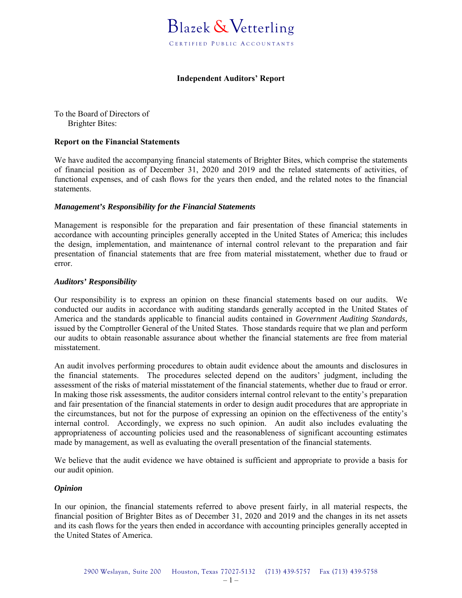

### **Independent Auditors' Report**

To the Board of Directors of Brighter Bites:

### **Report on the Financial Statements**

We have audited the accompanying financial statements of Brighter Bites, which comprise the statements of financial position as of December 31, 2020 and 2019 and the related statements of activities, of functional expenses, and of cash flows for the years then ended, and the related notes to the financial statements.

### *Management's Responsibility for the Financial Statements*

Management is responsible for the preparation and fair presentation of these financial statements in accordance with accounting principles generally accepted in the United States of America; this includes the design, implementation, and maintenance of internal control relevant to the preparation and fair presentation of financial statements that are free from material misstatement, whether due to fraud or error.

### *Auditors' Responsibility*

Our responsibility is to express an opinion on these financial statements based on our audits. We conducted our audits in accordance with auditing standards generally accepted in the United States of America and the standards applicable to financial audits contained in *Government Auditing Standards,* issued by the Comptroller General of the United States. Those standards require that we plan and perform our audits to obtain reasonable assurance about whether the financial statements are free from material misstatement.

An audit involves performing procedures to obtain audit evidence about the amounts and disclosures in the financial statements. The procedures selected depend on the auditors' judgment, including the assessment of the risks of material misstatement of the financial statements, whether due to fraud or error. In making those risk assessments, the auditor considers internal control relevant to the entity's preparation and fair presentation of the financial statements in order to design audit procedures that are appropriate in the circumstances, but not for the purpose of expressing an opinion on the effectiveness of the entity's internal control. Accordingly, we express no such opinion. An audit also includes evaluating the appropriateness of accounting policies used and the reasonableness of significant accounting estimates made by management, as well as evaluating the overall presentation of the financial statements.

We believe that the audit evidence we have obtained is sufficient and appropriate to provide a basis for our audit opinion.

### *Opinion*

In our opinion, the financial statements referred to above present fairly, in all material respects, the financial position of Brighter Bites as of December 31, 2020 and 2019 and the changes in its net assets and its cash flows for the years then ended in accordance with accounting principles generally accepted in the United States of America.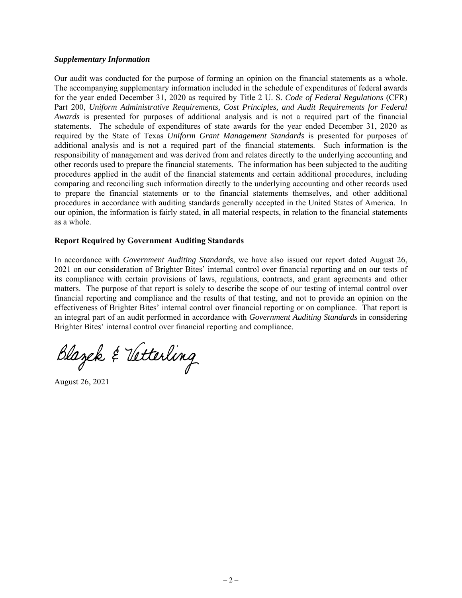### *Supplementary Information*

Our audit was conducted for the purpose of forming an opinion on the financial statements as a whole. The accompanying supplementary information included in the schedule of expenditures of federal awards for the year ended December 31, 2020 as required by Title 2 U. S. *Code of Federal Regulations* (CFR) Part 200, *Uniform Administrative Requirements, Cost Principles, and Audit Requirements for Federal Awards* is presented for purposes of additional analysis and is not a required part of the financial statements. The schedule of expenditures of state awards for the year ended December 31, 2020 as required by the State of Texas *Uniform Grant Management Standards* is presented for purposes of additional analysis and is not a required part of the financial statements. Such information is the responsibility of management and was derived from and relates directly to the underlying accounting and other records used to prepare the financial statements. The information has been subjected to the auditing procedures applied in the audit of the financial statements and certain additional procedures, including comparing and reconciling such information directly to the underlying accounting and other records used to prepare the financial statements or to the financial statements themselves, and other additional procedures in accordance with auditing standards generally accepted in the United States of America. In our opinion, the information is fairly stated, in all material respects, in relation to the financial statements as a whole.

### **Report Required by Government Auditing Standards**

In accordance with *Government Auditing Standards*, we have also issued our report dated August 26, 2021 on our consideration of Brighter Bites' internal control over financial reporting and on our tests of its compliance with certain provisions of laws, regulations, contracts, and grant agreements and other matters. The purpose of that report is solely to describe the scope of our testing of internal control over financial reporting and compliance and the results of that testing, and not to provide an opinion on the effectiveness of Brighter Bites' internal control over financial reporting or on compliance. That report is an integral part of an audit performed in accordance with *Government Auditing Standards* in considering Brighter Bites' internal control over financial reporting and compliance.

Blazek & Vetterling

August 26, 2021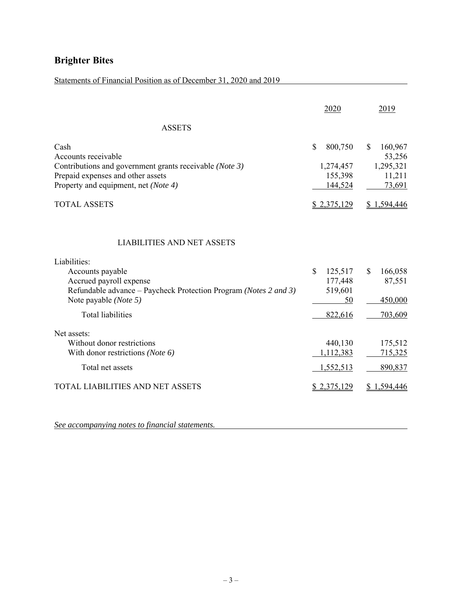## Statements of Financial Position as of December 31, 2020 and 2019

| $\mathbf S$<br>800,750<br>1,274,457<br>155,398<br>144,524      | $\mathbf S$<br>160,967<br>53,256<br>1,295,321<br>11,211 |
|----------------------------------------------------------------|---------------------------------------------------------|
|                                                                |                                                         |
|                                                                | 73,691                                                  |
| <u>\$2,375,129</u>                                             | \$1,594,446                                             |
| 125,517<br>$\mathbb{S}$<br>177,448<br>519,601<br>50<br>822,616 | 166,058<br>\$<br>87,551<br>450,000<br>703,609           |
|                                                                | 175,512<br>715,325<br>890,837                           |
|                                                                | 440,130<br>1,112,383<br>1,552,513                       |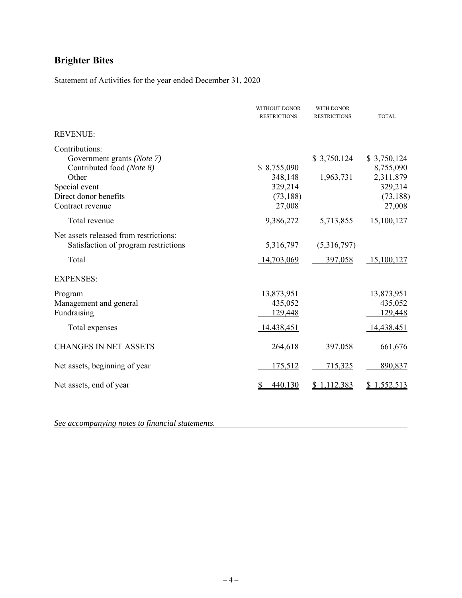## Statement of Activities for the year ended December 31, 2020

|                                                                                                                                                  | WITHOUT DONOR<br><b>RESTRICTIONS</b>                     | <b>WITH DONOR</b><br><b>RESTRICTIONS</b> | <b>TOTAL</b>                                                            |
|--------------------------------------------------------------------------------------------------------------------------------------------------|----------------------------------------------------------|------------------------------------------|-------------------------------------------------------------------------|
| <b>REVENUE:</b>                                                                                                                                  |                                                          |                                          |                                                                         |
| Contributions:<br>Government grants (Note 7)<br>Contributed food (Note 8)<br>Other<br>Special event<br>Direct donor benefits<br>Contract revenue | \$8,755,090<br>348,148<br>329,214<br>(73, 188)<br>27,008 | \$3,750,124<br>1,963,731                 | \$3,750,124<br>8,755,090<br>2,311,879<br>329,214<br>(73, 188)<br>27,008 |
| Total revenue                                                                                                                                    | 9,386,272                                                | 5,713,855                                | 15,100,127                                                              |
| Net assets released from restrictions:<br>Satisfaction of program restrictions<br>Total                                                          | 5,316,797<br>14,703,069                                  | (5,316,797)<br>397,058                   | 15,100,127                                                              |
| <b>EXPENSES:</b>                                                                                                                                 |                                                          |                                          |                                                                         |
| Program<br>Management and general<br>Fundraising<br>Total expenses                                                                               | 13,873,951<br>435,052<br>129,448<br>14,438,451           |                                          | 13,873,951<br>435,052<br>129,448<br>14,438,451                          |
| <b>CHANGES IN NET ASSETS</b>                                                                                                                     | 264,618                                                  | 397,058                                  | 661,676                                                                 |
| Net assets, beginning of year                                                                                                                    | 175,512                                                  | 715,325                                  | 890,837                                                                 |
| Net assets, end of year                                                                                                                          | 440,130                                                  | \$1,112,383                              | \$1,552,513                                                             |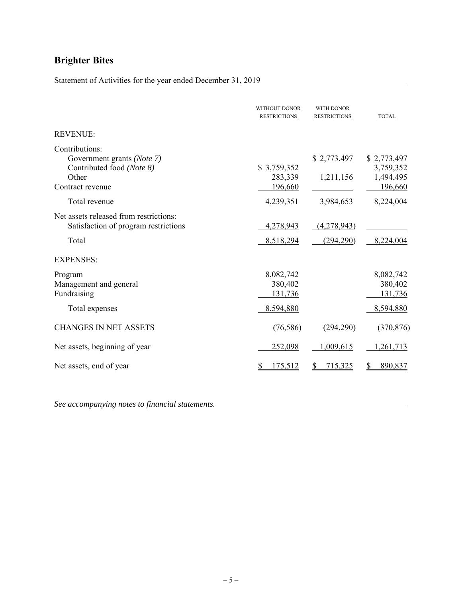## Statement of Activities for the year ended December 31, 2019

|                                                                                                        | <b>WITHOUT DONOR</b><br><b>RESTRICTIONS</b>  | <b>WITH DONOR</b><br><b>RESTRICTIONS</b> | <b>TOTAL</b>                                     |
|--------------------------------------------------------------------------------------------------------|----------------------------------------------|------------------------------------------|--------------------------------------------------|
| <b>REVENUE:</b>                                                                                        |                                              |                                          |                                                  |
| Contributions:<br>Government grants (Note 7)<br>Contributed food (Note 8)<br>Other<br>Contract revenue | \$3,759,352<br>283,339<br>196,660            | \$2,773,497<br>1,211,156                 | \$2,773,497<br>3,759,352<br>1,494,495<br>196,660 |
| Total revenue                                                                                          | 4,239,351                                    | 3,984,653                                | 8,224,004                                        |
| Net assets released from restrictions:<br>Satisfaction of program restrictions<br>Total                | 4,278,943<br>8,518,294                       | (4,278,943)<br>(294, 290)                | 8,224,004                                        |
| <b>EXPENSES:</b>                                                                                       |                                              |                                          |                                                  |
| Program<br>Management and general<br>Fundraising<br>Total expenses                                     | 8,082,742<br>380,402<br>131,736<br>8,594,880 |                                          | 8,082,742<br>380,402<br>131,736<br>8,594,880     |
| <b>CHANGES IN NET ASSETS</b>                                                                           | (76, 586)                                    | (294, 290)                               | (370, 876)                                       |
| Net assets, beginning of year                                                                          | 252,098                                      | 1,009,615                                | 1,261,713                                        |
| Net assets, end of year                                                                                | 175,512                                      | 715,325<br>S                             | 890,837                                          |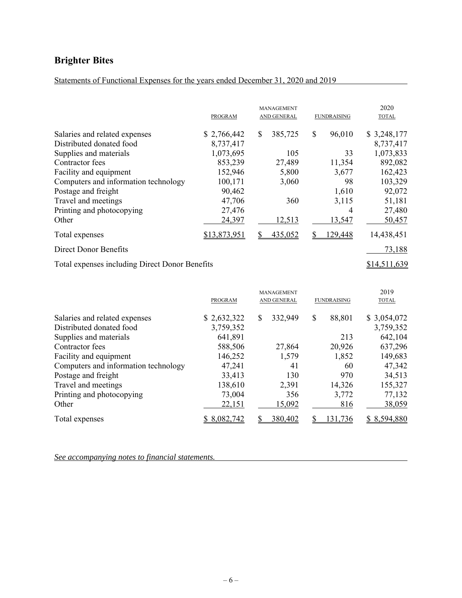Statements of Functional Expenses for the years ended December 31, 2020 and 2019

|                                                | PROGRAM      | <b>MANAGEMENT</b><br><b>AND GENERAL</b> | <b>FUNDRAISING</b> | 2020<br><b>TOTAL</b> |
|------------------------------------------------|--------------|-----------------------------------------|--------------------|----------------------|
| Salaries and related expenses                  | \$2,766,442  | \$<br>385,725                           | \$<br>96,010       | \$3,248,177          |
| Distributed donated food                       | 8,737,417    |                                         |                    | 8,737,417            |
| Supplies and materials                         | 1,073,695    | 105                                     | 33                 | 1,073,833            |
| Contractor fees                                | 853,239      | 27,489                                  | 11,354             | 892,082              |
| Facility and equipment                         | 152,946      | 5,800                                   | 3,677              | 162,423              |
| Computers and information technology           | 100,171      | 3,060                                   | 98                 | 103,329              |
| Postage and freight                            | 90,462       |                                         | 1,610              | 92,072               |
| Travel and meetings                            | 47,706       | 360                                     | 3,115              | 51,181               |
| Printing and photocopying                      | 27,476       |                                         | 4                  | 27,480               |
| Other                                          | 24,397       | <u>12,513</u>                           | 13,547             | 50,457               |
| Total expenses                                 | \$13,873,951 | 435,052                                 | 129,448            | 14,438,451           |
| <b>Direct Donor Benefits</b>                   |              |                                         |                    | 73,188               |
| Total expenses including Direct Donor Benefits |              |                                         |                    | \$14,511,639         |

|                                      | <b>PROGRAM</b> | <b>MANAGEMENT</b><br>AND GENERAL | <b>FUNDRAISING</b> | 2019<br><b>TOTAL</b> |
|--------------------------------------|----------------|----------------------------------|--------------------|----------------------|
|                                      |                |                                  |                    |                      |
| Salaries and related expenses        | \$2,632,322    | 332,949<br>S                     | \$<br>88,801       | \$3,054,072          |
| Distributed donated food             | 3,759,352      |                                  |                    | 3,759,352            |
| Supplies and materials               | 641,891        |                                  | 213                | 642,104              |
| Contractor fees                      | 588,506        | 27,864                           | 20,926             | 637,296              |
| Facility and equipment               | 146,252        | 1,579                            | 1,852              | 149,683              |
| Computers and information technology | 47,241         | 41                               | 60                 | 47,342               |
| Postage and freight                  | 33,413         | 130                              | 970                | 34,513               |
| Travel and meetings                  | 138,610        | 2,391                            | 14,326             | 155,327              |
| Printing and photocopying            | 73,004         | 356                              | 3,772              | 77,132               |
| Other                                | 22,151         | 15,092                           | 816                | 38,059               |
| Total expenses                       | 8,082,742      | 380,402                          | 131,736            | \$8,594,880          |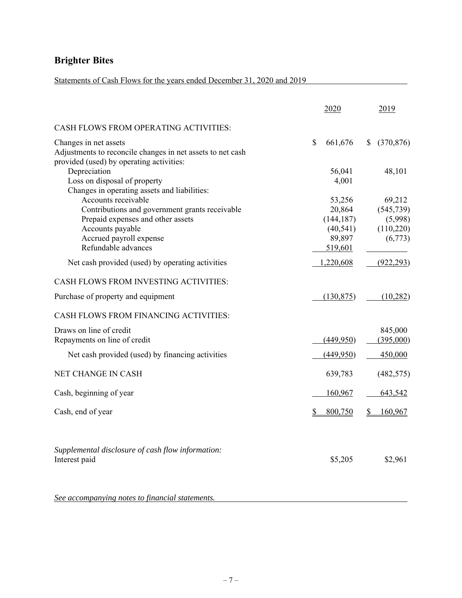## Statements of Cash Flows for the years ended December 31, 2020 and 2019

|                                                                                                                                                           | 2020                                                  | 2019                                                    |
|-----------------------------------------------------------------------------------------------------------------------------------------------------------|-------------------------------------------------------|---------------------------------------------------------|
| CASH FLOWS FROM OPERATING ACTIVITIES:                                                                                                                     |                                                       |                                                         |
| Changes in net assets<br>Adjustments to reconcile changes in net assets to net cash<br>provided (used) by operating activities:                           | \$<br>661,676                                         | (370, 876)<br>S.                                        |
| Depreciation<br>Loss on disposal of property<br>Changes in operating assets and liabilities:                                                              | 56,041<br>4,001                                       | 48,101                                                  |
| Accounts receivable<br>Contributions and government grants receivable<br>Prepaid expenses and other assets<br>Accounts payable<br>Accrued payroll expense | 53,256<br>20,864<br>(144, 187)<br>(40, 541)<br>89,897 | 69,212<br>(545, 739)<br>(5,998)<br>(110,220)<br>(6,773) |
| Refundable advances                                                                                                                                       | 519,601                                               |                                                         |
| Net cash provided (used) by operating activities                                                                                                          | 1,220,608                                             | (922, 293)                                              |
| CASH FLOWS FROM INVESTING ACTIVITIES:                                                                                                                     |                                                       |                                                         |
| Purchase of property and equipment                                                                                                                        | (130, 875)                                            | (10, 282)                                               |
| CASH FLOWS FROM FINANCING ACTIVITIES:                                                                                                                     |                                                       |                                                         |
| Draws on line of credit<br>Repayments on line of credit                                                                                                   | (449,950)                                             | 845,000<br>(395,000)                                    |
| Net cash provided (used) by financing activities                                                                                                          | (449,950)                                             | 450,000                                                 |
| NET CHANGE IN CASH                                                                                                                                        | 639,783                                               | (482, 575)                                              |
| Cash, beginning of year                                                                                                                                   | 160,967                                               | 643,542                                                 |
| Cash, end of year                                                                                                                                         | 800,750<br>\$                                         | 160,967                                                 |
| Supplemental disclosure of cash flow information:<br>Interest paid                                                                                        | \$5,205                                               | \$2,961                                                 |
| See accompanying notes to financial statements.                                                                                                           |                                                       |                                                         |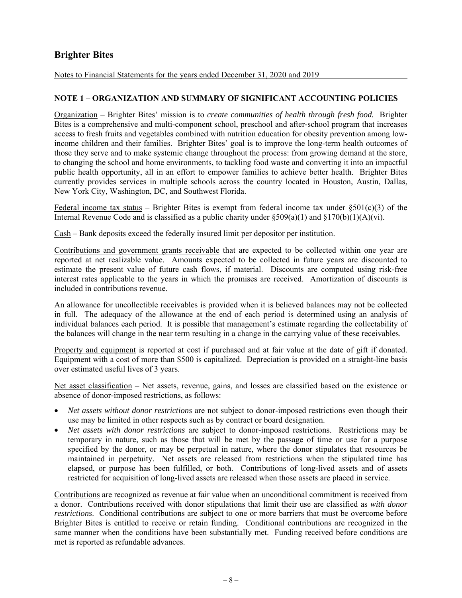Notes to Financial Statements for the years ended December 31, 2020 and 2019

### **NOTE 1 – ORGANIZATION AND SUMMARY OF SIGNIFICANT ACCOUNTING POLICIES**

Organization – Brighter Bites' mission is to *create communities of health through fresh food.* Brighter Bites is a comprehensive and multi-component school, preschool and after-school program that increases access to fresh fruits and vegetables combined with nutrition education for obesity prevention among lowincome children and their families. Brighter Bites' goal is to improve the long-term health outcomes of those they serve and to make systemic change throughout the process: from growing demand at the store, to changing the school and home environments, to tackling food waste and converting it into an impactful public health opportunity, all in an effort to empower families to achieve better health. Brighter Bites currently provides services in multiple schools across the country located in Houston, Austin, Dallas, New York City, Washington, DC, and Southwest Florida.

Federal income tax status – Brighter Bites is exempt from federal income tax under  $\S501(c)(3)$  of the Internal Revenue Code and is classified as a public charity under  $\delta$ 509(a)(1) and  $\delta$ 170(b)(1)(A)(vi).

Cash – Bank deposits exceed the federally insured limit per depositor per institution.

Contributions and government grants receivable that are expected to be collected within one year are reported at net realizable value. Amounts expected to be collected in future years are discounted to estimate the present value of future cash flows, if material. Discounts are computed using risk-free interest rates applicable to the years in which the promises are received. Amortization of discounts is included in contributions revenue.

An allowance for uncollectible receivables is provided when it is believed balances may not be collected in full. The adequacy of the allowance at the end of each period is determined using an analysis of individual balances each period. It is possible that management's estimate regarding the collectability of the balances will change in the near term resulting in a change in the carrying value of these receivables.

Property and equipment is reported at cost if purchased and at fair value at the date of gift if donated. Equipment with a cost of more than \$500 is capitalized. Depreciation is provided on a straight-line basis over estimated useful lives of 3 years.

Net asset classification – Net assets, revenue, gains, and losses are classified based on the existence or absence of donor-imposed restrictions, as follows:

- *Net assets without donor restrictions* are not subject to donor-imposed restrictions even though their use may be limited in other respects such as by contract or board designation.
- *Net assets with donor restrictions* are subject to donor-imposed restrictions. Restrictions may be temporary in nature, such as those that will be met by the passage of time or use for a purpose specified by the donor, or may be perpetual in nature, where the donor stipulates that resources be maintained in perpetuity. Net assets are released from restrictions when the stipulated time has elapsed, or purpose has been fulfilled, or both. Contributions of long-lived assets and of assets restricted for acquisition of long-lived assets are released when those assets are placed in service.

Contributions are recognized as revenue at fair value when an unconditional commitment is received from a donor. Contributions received with donor stipulations that limit their use are classified as *with donor restrictions*. Conditional contributions are subject to one or more barriers that must be overcome before Brighter Bites is entitled to receive or retain funding. Conditional contributions are recognized in the same manner when the conditions have been substantially met. Funding received before conditions are met is reported as refundable advances.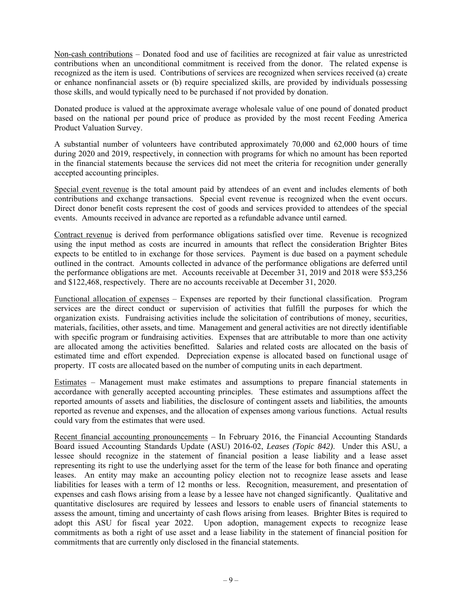Non-cash contributions – Donated food and use of facilities are recognized at fair value as unrestricted contributions when an unconditional commitment is received from the donor. The related expense is recognized as the item is used. Contributions of services are recognized when services received (a) create or enhance nonfinancial assets or (b) require specialized skills, are provided by individuals possessing those skills, and would typically need to be purchased if not provided by donation.

Donated produce is valued at the approximate average wholesale value of one pound of donated product based on the national per pound price of produce as provided by the most recent Feeding America Product Valuation Survey.

A substantial number of volunteers have contributed approximately 70,000 and 62,000 hours of time during 2020 and 2019, respectively, in connection with programs for which no amount has been reported in the financial statements because the services did not meet the criteria for recognition under generally accepted accounting principles.

Special event revenue is the total amount paid by attendees of an event and includes elements of both contributions and exchange transactions. Special event revenue is recognized when the event occurs. Direct donor benefit costs represent the cost of goods and services provided to attendees of the special events. Amounts received in advance are reported as a refundable advance until earned.

Contract revenue is derived from performance obligations satisfied over time. Revenue is recognized using the input method as costs are incurred in amounts that reflect the consideration Brighter Bites expects to be entitled to in exchange for those services. Payment is due based on a payment schedule outlined in the contract. Amounts collected in advance of the performance obligations are deferred until the performance obligations are met. Accounts receivable at December 31, 2019 and 2018 were \$53,256 and \$122,468, respectively. There are no accounts receivable at December 31, 2020.

Functional allocation of expenses – Expenses are reported by their functional classification. Program services are the direct conduct or supervision of activities that fulfill the purposes for which the organization exists. Fundraising activities include the solicitation of contributions of money, securities, materials, facilities, other assets, and time. Management and general activities are not directly identifiable with specific program or fundraising activities. Expenses that are attributable to more than one activity are allocated among the activities benefitted. Salaries and related costs are allocated on the basis of estimated time and effort expended. Depreciation expense is allocated based on functional usage of property. IT costs are allocated based on the number of computing units in each department.

Estimates – Management must make estimates and assumptions to prepare financial statements in accordance with generally accepted accounting principles. These estimates and assumptions affect the reported amounts of assets and liabilities, the disclosure of contingent assets and liabilities, the amounts reported as revenue and expenses, and the allocation of expenses among various functions. Actual results could vary from the estimates that were used.

Recent financial accounting pronouncements – In February 2016, the Financial Accounting Standards Board issued Accounting Standards Update (ASU) 2016-02, *Leases (Topic 842)*. Under this ASU, a lessee should recognize in the statement of financial position a lease liability and a lease asset representing its right to use the underlying asset for the term of the lease for both finance and operating leases. An entity may make an accounting policy election not to recognize lease assets and lease liabilities for leases with a term of 12 months or less. Recognition, measurement, and presentation of expenses and cash flows arising from a lease by a lessee have not changed significantly. Qualitative and quantitative disclosures are required by lessees and lessors to enable users of financial statements to assess the amount, timing and uncertainty of cash flows arising from leases. Brighter Bites is required to adopt this ASU for fiscal year 2022. Upon adoption, management expects to recognize lease commitments as both a right of use asset and a lease liability in the statement of financial position for commitments that are currently only disclosed in the financial statements.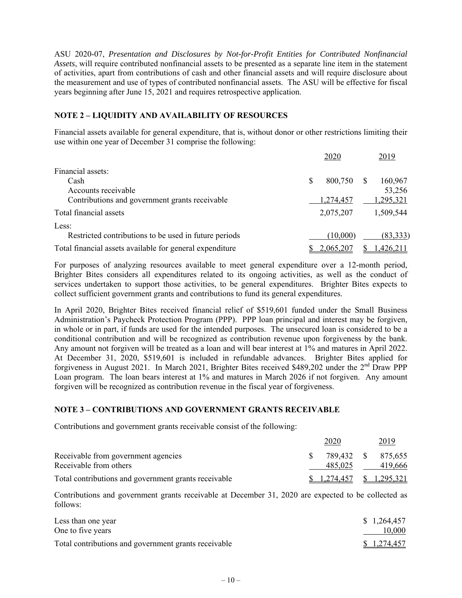ASU 2020-07, *Presentation and Disclosures by Not-for-Profit Entities for Contributed Nonfinancial Assets*, will require contributed nonfinancial assets to be presented as a separate line item in the statement of activities, apart from contributions of cash and other financial assets and will require disclosure about the measurement and use of types of contributed nonfinancial assets. The ASU will be effective for fiscal years beginning after June 15, 2021 and requires retrospective application.

### **NOTE 2 – LIQUIDITY AND AVAILABILITY OF RESOURCES**

Financial assets available for general expenditure, that is, without donor or other restrictions limiting their use within one year of December 31 comprise the following:

|                                                          |   | 2020      |   | 2019      |
|----------------------------------------------------------|---|-----------|---|-----------|
| Financial assets:                                        |   |           |   |           |
| Cash                                                     | S | 800,750   | S | 160,967   |
| Accounts receivable                                      |   |           |   | 53,256    |
| Contributions and government grants receivable           |   | 1,274,457 |   | 1,295,321 |
| Total financial assets                                   |   | 2,075,207 |   | 1,509,544 |
| Less:                                                    |   |           |   |           |
| Restricted contributions to be used in future periods    |   | (10,000)  |   | (83,333)  |
| Total financial assets available for general expenditure |   | 2,065,207 |   | 1,426,211 |

For purposes of analyzing resources available to meet general expenditure over a 12-month period, Brighter Bites considers all expenditures related to its ongoing activities, as well as the conduct of services undertaken to support those activities, to be general expenditures. Brighter Bites expects to collect sufficient government grants and contributions to fund its general expenditures.

In April 2020, Brighter Bites received financial relief of \$519,601 funded under the Small Business Administration's Paycheck Protection Program (PPP). PPP loan principal and interest may be forgiven, in whole or in part, if funds are used for the intended purposes. The unsecured loan is considered to be a conditional contribution and will be recognized as contribution revenue upon forgiveness by the bank. Any amount not forgiven will be treated as a loan and will bear interest at 1% and matures in April 2022. At December 31, 2020, \$519,601 is included in refundable advances. Brighter Bites applied for forgiveness in August 2021. In March 2021, Brighter Bites received \$489,202 under the 2<sup>nd</sup> Draw PPP Loan program. The loan bears interest at 1% and matures in March 2026 if not forgiven. Any amount forgiven will be recognized as contribution revenue in the fiscal year of forgiveness.

### **NOTE 3 – CONTRIBUTIONS AND GOVERNMENT GRANTS RECEIVABLE**

Contributions and government grants receivable consist of the following:

|                                                      | 2020                            | 2019               |
|------------------------------------------------------|---------------------------------|--------------------|
| Receivable from government agencies                  |                                 | 789,432 \$ 875,655 |
| Receivable from others                               | 485.025                         | 419,666            |
| Total contributions and government grants receivable | $\frac{1,274,457}{8}$ 1,295,321 |                    |

Contributions and government grants receivable at December 31, 2020 are expected to be collected as follows:

| Less than one year                                   | \$1,264,457 |
|------------------------------------------------------|-------------|
| One to five years                                    | 10,000      |
| Total contributions and government grants receivable | \$1,274,457 |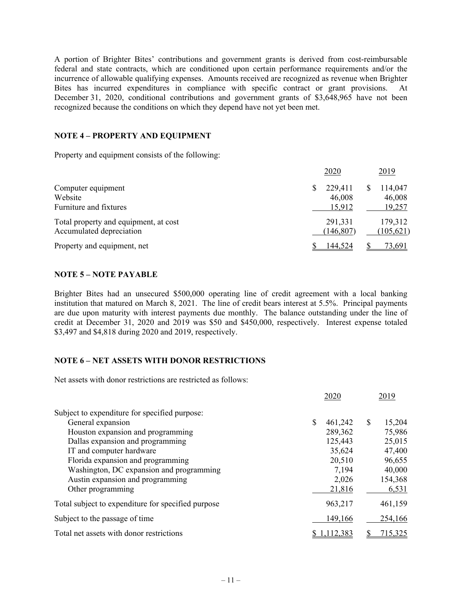A portion of Brighter Bites' contributions and government grants is derived from cost-reimbursable federal and state contracts, which are conditioned upon certain performance requirements and/or the incurrence of allowable qualifying expenses. Amounts received are recognized as revenue when Brighter Bites has incurred expenditures in compliance with specific contract or grant provisions. At December 31, 2020, conditional contributions and government grants of \$3,648,965 have not been recognized because the conditions on which they depend have not yet been met.

### **NOTE 4 – PROPERTY AND EQUIPMENT**

Property and equipment consists of the following:

|                                                                   | 2020                              | 2019                        |
|-------------------------------------------------------------------|-----------------------------------|-----------------------------|
| Computer equipment<br>Website<br>Furniture and fixtures           | \$<br>229,411<br>46,008<br>15,912 | 114,047<br>46,008<br>19,257 |
| Total property and equipment, at cost<br>Accumulated depreciation | 291,331<br>(146, 807)             | 179,312<br>(105, 621)       |
| Property and equipment, net                                       | 144,524                           | 73.691                      |

### **NOTE 5 – NOTE PAYABLE**

Brighter Bites had an unsecured \$500,000 operating line of credit agreement with a local banking institution that matured on March 8, 2021. The line of credit bears interest at 5.5%. Principal payments are due upon maturity with interest payments due monthly. The balance outstanding under the line of credit at December 31, 2020 and 2019 was \$50 and \$450,000, respectively. Interest expense totaled \$3,497 and \$4,818 during 2020 and 2019, respectively.

### **NOTE 6 – NET ASSETS WITH DONOR RESTRICTIONS**

Net assets with donor restrictions are restricted as follows:

|                                                    |   | 2020    | 2019         |
|----------------------------------------------------|---|---------|--------------|
| Subject to expenditure for specified purpose:      |   |         |              |
| General expansion                                  | S | 461,242 | \$<br>15,204 |
| Houston expansion and programming                  |   | 289,362 | 75,986       |
| Dallas expansion and programming                   |   | 125,443 | 25,015       |
| IT and computer hardware                           |   | 35,624  | 47,400       |
| Florida expansion and programming                  |   | 20,510  | 96,655       |
| Washington, DC expansion and programming           |   | 7,194   | 40,000       |
| Austin expansion and programming                   |   | 2,026   | 154,368      |
| Other programming                                  |   | 21,816  | 6,531        |
| Total subject to expenditure for specified purpose |   | 963,217 | 461,159      |
| Subject to the passage of time                     |   | 149,166 | 254,166      |
| Total net assets with donor restrictions           |   | 112,383 | 715,325      |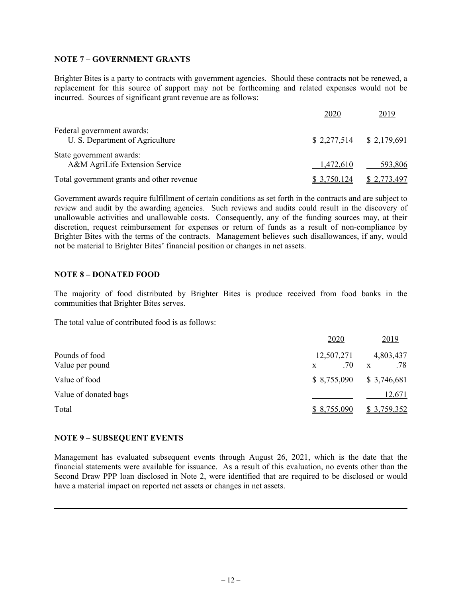### **NOTE 7 – GOVERNMENT GRANTS**

Brighter Bites is a party to contracts with government agencies. Should these contracts not be renewed, a replacement for this source of support may not be forthcoming and related expenses would not be incurred. Sources of significant grant revenue are as follows:

|                                                               | 2020                      | 2019               |
|---------------------------------------------------------------|---------------------------|--------------------|
| Federal government awards:<br>U. S. Department of Agriculture | $$2,277,514$ $$2,179,691$ |                    |
| State government awards:<br>A&M AgriLife Extension Service    | 1,472,610                 | 593,806            |
| Total government grants and other revenue                     | 3,750,124                 | <u>\$2,773,497</u> |

Government awards require fulfillment of certain conditions as set forth in the contracts and are subject to review and audit by the awarding agencies. Such reviews and audits could result in the discovery of unallowable activities and unallowable costs. Consequently, any of the funding sources may, at their discretion, request reimbursement for expenses or return of funds as a result of non-compliance by Brighter Bites with the terms of the contracts. Management believes such disallowances, if any, would not be material to Brighter Bites' financial position or changes in net assets.

### **NOTE 8 – DONATED FOOD**

The majority of food distributed by Brighter Bites is produce received from food banks in the communities that Brighter Bites serves.

The total value of contributed food is as follows:

|                       | 2020        | 2019        |
|-----------------------|-------------|-------------|
| Pounds of food        | 12,507,271  | 4,803,437   |
| Value per pound       | .70         | .78<br>X    |
| Value of food         | \$8,755,090 | \$3,746,681 |
| Value of donated bags |             | 12,671      |
| Total                 | \$8,755,090 | \$3,759,352 |

### **NOTE 9 – SUBSEQUENT EVENTS**

Management has evaluated subsequent events through August 26, 2021, which is the date that the financial statements were available for issuance. As a result of this evaluation, no events other than the Second Draw PPP loan disclosed in Note 2, were identified that are required to be disclosed or would have a material impact on reported net assets or changes in net assets.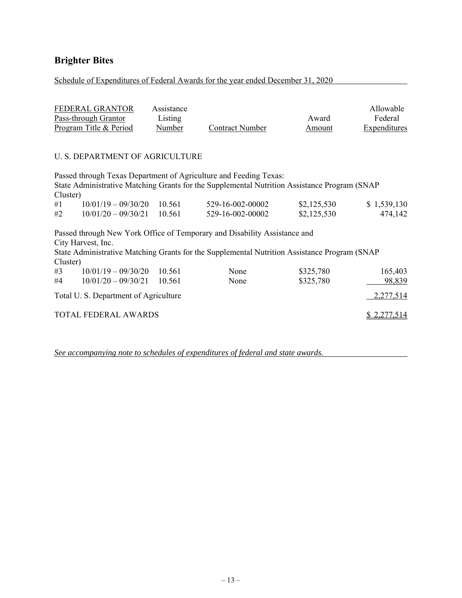Schedule of Expenditures of Federal Awards for the year ended December 31, 2020

| FEDERAL GRANTOR        | Assistance |                 |        | Allowable    |
|------------------------|------------|-----------------|--------|--------------|
| Pass-through Grantor   | Listing    |                 | Award  | Federal      |
| Program Title & Period | Number     | Contract Number | Amount | Expenditures |

### U. S. DEPARTMENT OF AGRICULTURE

Passed through Texas Department of Agriculture and Feeding Texas: State Administrative Matching Grants for the Supplemental Nutrition Assistance Program (SNAP Cluster)  $\#1$  10/01/19 – 09/30/20 10.561 529-16-002-00002 \$2,125,530 \$ 1,539,130

| #2 | $10/01/20 - 09/30/21$ 10.561 | 529-16-002-00002 | \$2,125,530 | 474,142 |
|----|------------------------------|------------------|-------------|---------|
|    |                              |                  |             |         |

Passed through New York Office of Temporary and Disability Assistance and City Harvest, Inc. State Administrative Matching Grants for the Supplemental Nutrition Assistance Program (SNAP  $C$ luster)

| Cluster) |                                      |          |      |           |             |
|----------|--------------------------------------|----------|------|-----------|-------------|
| #3       | $10/01/19 - 09/30/20$ 10.561         |          | None | \$325,780 | 165,403     |
| #4       | $10/01/20 - 09/30/21$                | - 10.561 | None | \$325,780 | 98,839      |
|          | Total U.S. Department of Agriculture |          |      |           | 2,277,514   |
|          | <b>TOTAL FEDERAL AWARDS</b>          |          |      |           | \$2,277,514 |

*See accompanying note to schedules of expenditures of federal and state awards.*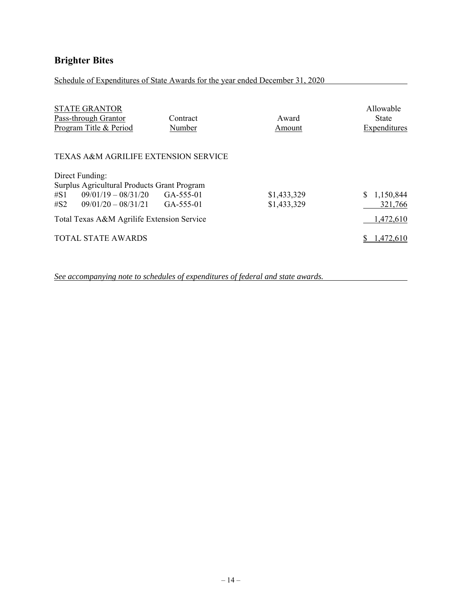Schedule of Expenditures of State Awards for the year ended December 31, 2020

| <b>STATE GRANTOR</b><br>Pass-through Grantor<br>Program Title & Period | Contract<br>Number | Award<br>Amount | Allowable<br><b>State</b><br>Expenditures |
|------------------------------------------------------------------------|--------------------|-----------------|-------------------------------------------|
| <b>TEXAS A&amp;M AGRILIFE EXTENSION SERVICE</b>                        |                    |                 |                                           |
| Direct Funding:                                                        |                    |                 |                                           |
| Surplus Agricultural Products Grant Program                            |                    |                 |                                           |
| $09/01/19 - 08/31/20$ GA-555-01<br>$\#S1$                              |                    | \$1,433,329     | 1,150,844<br>S.                           |
| $\#S2$ 09/01/20 - 08/31/21 GA-555-01                                   |                    | \$1,433,329     | 321,766                                   |
| Total Texas A&M Agrilife Extension Service                             | 1,472,610          |                 |                                           |
| <b>TOTAL STATE AWARDS</b>                                              |                    |                 | 1,472,610                                 |

*See accompanying note to schedules of expenditures of federal and state awards.*